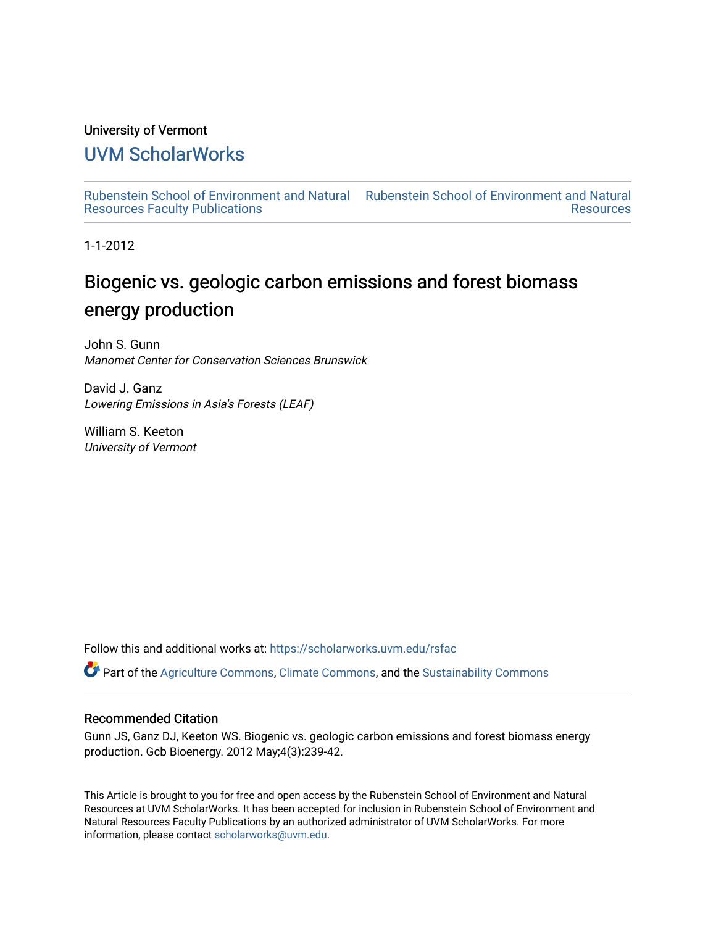# University of Vermont

# [UVM ScholarWorks](https://scholarworks.uvm.edu/)

[Rubenstein School of Environment and Natural](https://scholarworks.uvm.edu/rsfac) [Rubenstein School of Environment and Natural](https://scholarworks.uvm.edu/rs)  [Resources Faculty Publications](https://scholarworks.uvm.edu/rsfac)  **Resources** 

1-1-2012

# Biogenic vs. geologic carbon emissions and forest biomass energy production

John S. Gunn Manomet Center for Conservation Sciences Brunswick

David J. Ganz Lowering Emissions in Asia's Forests (LEAF)

William S. Keeton University of Vermont

Follow this and additional works at: [https://scholarworks.uvm.edu/rsfac](https://scholarworks.uvm.edu/rsfac?utm_source=scholarworks.uvm.edu%2Frsfac%2F125&utm_medium=PDF&utm_campaign=PDFCoverPages) 

 $\bullet$  Part of the [Agriculture Commons](http://network.bepress.com/hgg/discipline/1076?utm_source=scholarworks.uvm.edu%2Frsfac%2F125&utm_medium=PDF&utm_campaign=PDFCoverPages), [Climate Commons](http://network.bepress.com/hgg/discipline/188?utm_source=scholarworks.uvm.edu%2Frsfac%2F125&utm_medium=PDF&utm_campaign=PDFCoverPages), and the Sustainability Commons

## Recommended Citation

Gunn JS, Ganz DJ, Keeton WS. Biogenic vs. geologic carbon emissions and forest biomass energy production. Gcb Bioenergy. 2012 May;4(3):239-42.

This Article is brought to you for free and open access by the Rubenstein School of Environment and Natural Resources at UVM ScholarWorks. It has been accepted for inclusion in Rubenstein School of Environment and Natural Resources Faculty Publications by an authorized administrator of UVM ScholarWorks. For more information, please contact [scholarworks@uvm.edu.](mailto:scholarworks@uvm.edu)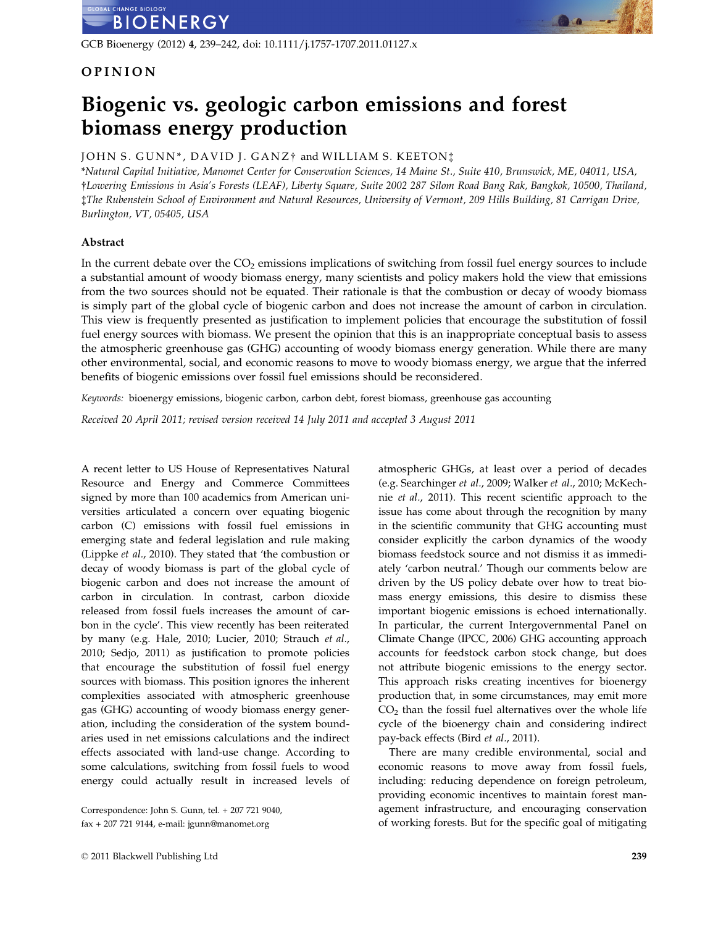GCB Bioenergy (2012) 4, 239–242, doi: 10.1111/j.1757-1707.2011.01127.x

## OPINION

# Biogenic vs. geologic carbon emissions and forest biomass energy production

### JOHN S. GUNN\*, DAVID J. GANZ† and WILLIAM S. KEETON‡

\*Natural Capital Initiative, Manomet Center for Conservation Sciences, 14 Maine St., Suite 410, Brunswick, ME, 04011, USA, †Lowering Emissions in Asia's Forests (LEAF), Liberty Square, Suite 2002 287 Silom Road Bang Rak, Bangkok, 10500, Thailand, ‡The Rubenstein School of Environment and Natural Resources, University of Vermont, 209 Hills Building, 81 Carrigan Drive, Burlington, VT, 05405, USA

### Abstract

In the current debate over the  $CO<sub>2</sub>$  emissions implications of switching from fossil fuel energy sources to include a substantial amount of woody biomass energy, many scientists and policy makers hold the view that emissions from the two sources should not be equated. Their rationale is that the combustion or decay of woody biomass is simply part of the global cycle of biogenic carbon and does not increase the amount of carbon in circulation. This view is frequently presented as justification to implement policies that encourage the substitution of fossil fuel energy sources with biomass. We present the opinion that this is an inappropriate conceptual basis to assess the atmospheric greenhouse gas (GHG) accounting of woody biomass energy generation. While there are many other environmental, social, and economic reasons to move to woody biomass energy, we argue that the inferred benefits of biogenic emissions over fossil fuel emissions should be reconsidered.

Keywords: bioenergy emissions, biogenic carbon, carbon debt, forest biomass, greenhouse gas accounting

Received 20 April 2011; revised version received 14 July 2011 and accepted 3 August 2011

A recent letter to US House of Representatives Natural Resource and Energy and Commerce Committees signed by more than 100 academics from American universities articulated a concern over equating biogenic carbon (C) emissions with fossil fuel emissions in emerging state and federal legislation and rule making (Lippke et al., 2010). They stated that 'the combustion or decay of woody biomass is part of the global cycle of biogenic carbon and does not increase the amount of carbon in circulation. In contrast, carbon dioxide released from fossil fuels increases the amount of carbon in the cycle'. This view recently has been reiterated by many (e.g. Hale, 2010; Lucier, 2010; Strauch et al., 2010; Sedjo, 2011) as justification to promote policies that encourage the substitution of fossil fuel energy sources with biomass. This position ignores the inherent complexities associated with atmospheric greenhouse gas (GHG) accounting of woody biomass energy generation, including the consideration of the system boundaries used in net emissions calculations and the indirect effects associated with land-use change. According to some calculations, switching from fossil fuels to wood energy could actually result in increased levels of

Correspondence: John S. Gunn, tel. + 207 721 9040, fax + 207 721 9144, e-mail: jgunn@manomet.org

atmospheric GHGs, at least over a period of decades (e.g. Searchinger et al., 2009; Walker et al., 2010; McKechnie et al., 2011). This recent scientific approach to the issue has come about through the recognition by many in the scientific community that GHG accounting must consider explicitly the carbon dynamics of the woody biomass feedstock source and not dismiss it as immediately 'carbon neutral.' Though our comments below are driven by the US policy debate over how to treat biomass energy emissions, this desire to dismiss these important biogenic emissions is echoed internationally. In particular, the current Intergovernmental Panel on Climate Change (IPCC, 2006) GHG accounting approach accounts for feedstock carbon stock change, but does not attribute biogenic emissions to the energy sector. This approach risks creating incentives for bioenergy production that, in some circumstances, may emit more  $CO<sub>2</sub>$  than the fossil fuel alternatives over the whole life cycle of the bioenergy chain and considering indirect pay-back effects (Bird et al., 2011).

**O** . -

There are many credible environmental, social and economic reasons to move away from fossil fuels, including: reducing dependence on foreign petroleum, providing economic incentives to maintain forest management infrastructure, and encouraging conservation of working forests. But for the specific goal of mitigating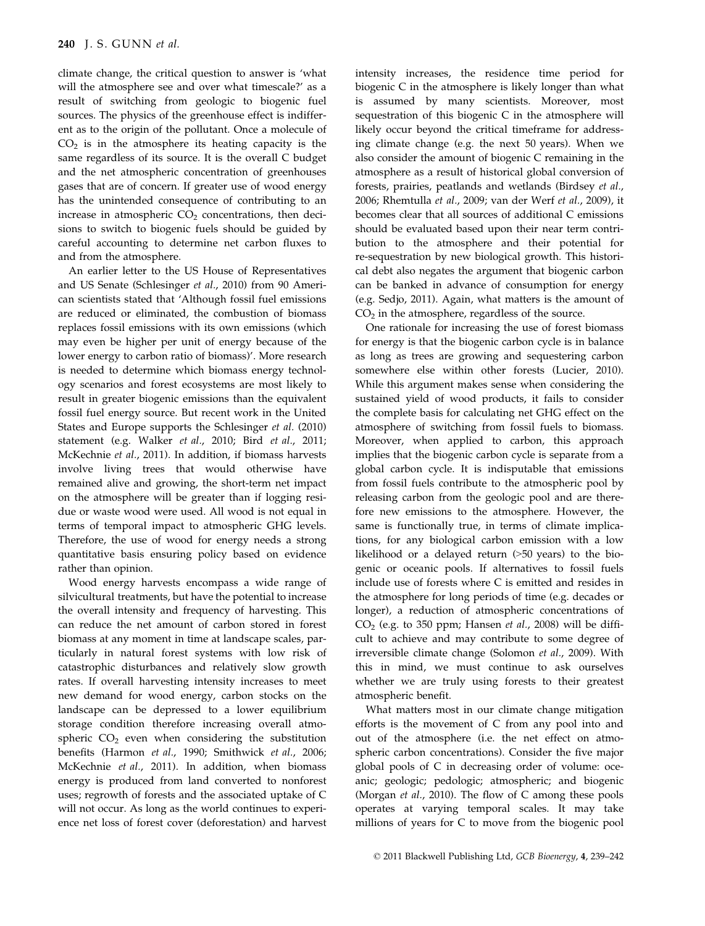climate change, the critical question to answer is 'what will the atmosphere see and over what timescale?' as a result of switching from geologic to biogenic fuel sources. The physics of the greenhouse effect is indifferent as to the origin of the pollutant. Once a molecule of  $CO<sub>2</sub>$  is in the atmosphere its heating capacity is the same regardless of its source. It is the overall C budget and the net atmospheric concentration of greenhouses gases that are of concern. If greater use of wood energy has the unintended consequence of contributing to an increase in atmospheric  $CO<sub>2</sub>$  concentrations, then decisions to switch to biogenic fuels should be guided by careful accounting to determine net carbon fluxes to and from the atmosphere.

An earlier letter to the US House of Representatives and US Senate (Schlesinger et al., 2010) from 90 American scientists stated that 'Although fossil fuel emissions are reduced or eliminated, the combustion of biomass replaces fossil emissions with its own emissions (which may even be higher per unit of energy because of the lower energy to carbon ratio of biomass)'. More research is needed to determine which biomass energy technology scenarios and forest ecosystems are most likely to result in greater biogenic emissions than the equivalent fossil fuel energy source. But recent work in the United States and Europe supports the Schlesinger et al. (2010) statement (e.g. Walker et al., 2010; Bird et al., 2011; McKechnie et al., 2011). In addition, if biomass harvests involve living trees that would otherwise have remained alive and growing, the short-term net impact on the atmosphere will be greater than if logging residue or waste wood were used. All wood is not equal in terms of temporal impact to atmospheric GHG levels. Therefore, the use of wood for energy needs a strong quantitative basis ensuring policy based on evidence rather than opinion.

Wood energy harvests encompass a wide range of silvicultural treatments, but have the potential to increase the overall intensity and frequency of harvesting. This can reduce the net amount of carbon stored in forest biomass at any moment in time at landscape scales, particularly in natural forest systems with low risk of catastrophic disturbances and relatively slow growth rates. If overall harvesting intensity increases to meet new demand for wood energy, carbon stocks on the landscape can be depressed to a lower equilibrium storage condition therefore increasing overall atmospheric  $CO<sub>2</sub>$  even when considering the substitution benefits (Harmon et al., 1990; Smithwick et al., 2006; McKechnie et al., 2011). In addition, when biomass energy is produced from land converted to nonforest uses; regrowth of forests and the associated uptake of C will not occur. As long as the world continues to experience net loss of forest cover (deforestation) and harvest

intensity increases, the residence time period for biogenic C in the atmosphere is likely longer than what is assumed by many scientists. Moreover, most sequestration of this biogenic C in the atmosphere will likely occur beyond the critical timeframe for addressing climate change (e.g. the next 50 years). When we also consider the amount of biogenic C remaining in the atmosphere as a result of historical global conversion of forests, prairies, peatlands and wetlands (Birdsey et al., 2006; Rhemtulla et al., 2009; van der Werf et al., 2009), it becomes clear that all sources of additional C emissions should be evaluated based upon their near term contribution to the atmosphere and their potential for re-sequestration by new biological growth. This historical debt also negates the argument that biogenic carbon can be banked in advance of consumption for energy (e.g. Sedjo, 2011). Again, what matters is the amount of  $CO<sub>2</sub>$  in the atmosphere, regardless of the source.

One rationale for increasing the use of forest biomass for energy is that the biogenic carbon cycle is in balance as long as trees are growing and sequestering carbon somewhere else within other forests (Lucier, 2010). While this argument makes sense when considering the sustained yield of wood products, it fails to consider the complete basis for calculating net GHG effect on the atmosphere of switching from fossil fuels to biomass. Moreover, when applied to carbon, this approach implies that the biogenic carbon cycle is separate from a global carbon cycle. It is indisputable that emissions from fossil fuels contribute to the atmospheric pool by releasing carbon from the geologic pool and are therefore new emissions to the atmosphere. However, the same is functionally true, in terms of climate implications, for any biological carbon emission with a low likelihood or a delayed return (>50 years) to the biogenic or oceanic pools. If alternatives to fossil fuels include use of forests where C is emitted and resides in the atmosphere for long periods of time (e.g. decades or longer), a reduction of atmospheric concentrations of  $CO<sub>2</sub>$  (e.g. to 350 ppm; Hansen *et al.*, 2008) will be difficult to achieve and may contribute to some degree of irreversible climate change (Solomon et al., 2009). With this in mind, we must continue to ask ourselves whether we are truly using forests to their greatest atmospheric benefit.

What matters most in our climate change mitigation efforts is the movement of C from any pool into and out of the atmosphere (i.e. the net effect on atmospheric carbon concentrations). Consider the five major global pools of C in decreasing order of volume: oceanic; geologic; pedologic; atmospheric; and biogenic (Morgan et al., 2010). The flow of C among these pools operates at varying temporal scales. It may take millions of years for C to move from the biogenic pool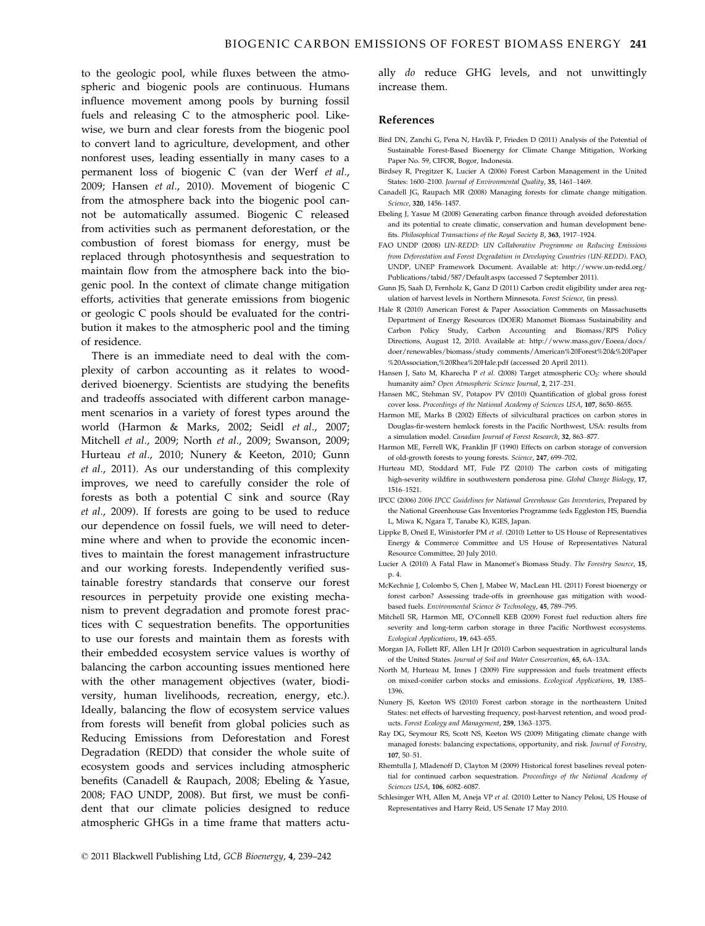to the geologic pool, while fluxes between the atmospheric and biogenic pools are continuous. Humans influence movement among pools by burning fossil fuels and releasing C to the atmospheric pool. Likewise, we burn and clear forests from the biogenic pool to convert land to agriculture, development, and other nonforest uses, leading essentially in many cases to a permanent loss of biogenic C (van der Werf et al., 2009; Hansen et al., 2010). Movement of biogenic C from the atmosphere back into the biogenic pool cannot be automatically assumed. Biogenic C released from activities such as permanent deforestation, or the combustion of forest biomass for energy, must be replaced through photosynthesis and sequestration to maintain flow from the atmosphere back into the biogenic pool. In the context of climate change mitigation efforts, activities that generate emissions from biogenic or geologic C pools should be evaluated for the contribution it makes to the atmospheric pool and the timing of residence.

There is an immediate need to deal with the complexity of carbon accounting as it relates to woodderived bioenergy. Scientists are studying the benefits and tradeoffs associated with different carbon management scenarios in a variety of forest types around the world (Harmon & Marks, 2002; Seidl et al., 2007; Mitchell et al., 2009; North et al., 2009; Swanson, 2009; Hurteau et al., 2010; Nunery & Keeton, 2010; Gunn et al., 2011). As our understanding of this complexity improves, we need to carefully consider the role of forests as both a potential C sink and source (Ray et al., 2009). If forests are going to be used to reduce our dependence on fossil fuels, we will need to determine where and when to provide the economic incentives to maintain the forest management infrastructure and our working forests. Independently verified sustainable forestry standards that conserve our forest resources in perpetuity provide one existing mechanism to prevent degradation and promote forest practices with C sequestration benefits. The opportunities to use our forests and maintain them as forests with their embedded ecosystem service values is worthy of balancing the carbon accounting issues mentioned here with the other management objectives (water, biodiversity, human livelihoods, recreation, energy, etc.). Ideally, balancing the flow of ecosystem service values from forests will benefit from global policies such as Reducing Emissions from Deforestation and Forest Degradation (REDD) that consider the whole suite of ecosystem goods and services including atmospheric benefits (Canadell & Raupach, 2008; Ebeling & Yasue, 2008; FAO UNDP, 2008). But first, we must be confident that our climate policies designed to reduce atmospheric GHGs in a time frame that matters actually do reduce GHG levels, and not unwittingly increase them.

#### References

- Bird DN, Zanchi G, Pena N, Havlík P, Frieden D (2011) Analysis of the Potential of Sustainable Forest-Based Bioenergy for Climate Change Mitigation, Working Paper No. 59, CIFOR, Bogor, Indonesia.
- Birdsey R, Pregitzer K, Lucier A (2006) Forest Carbon Management in the United States: 1600–2100. Journal of Environmental Quality, 35, 1461–1469.
- Canadell JG, Raupach MR (2008) Managing forests for climate change mitigation. Science, 320, 1456–1457.
- Ebeling J, Yasue M (2008) Generating carbon finance through avoided deforestation and its potential to create climatic, conservation and human development benefits. Philosophical Transactions of the Royal Society B, 363, 1917–1924.
- FAO UNDP (2008) UN-REDD: UN Collaborative Programme on Reducing Emissions from Deforestation and Forest Degradation in Developing Countries (UN-REDD). FAO, UNDP, UNEP Framework Document. Available at: http://www.un-redd.org/ Publications/tabid/587/Default.aspx (accessed 7 September 2011).
- Gunn JS, Saah D, Fernholz K, Ganz D (2011) Carbon credit eligibility under area regulation of harvest levels in Northern Minnesota. Forest Science, (in press).
- Hale R (2010) American Forest & Paper Association Comments on Massachusetts Department of Energy Resources (DOER) Manomet Biomass Sustainability and Carbon Policy Study, Carbon Accounting and Biomass/RPS Policy Directions, August 12, 2010. Available at: http://www.mass.gov/Eoeea/docs/ doer/renewables/biomass/study comments/American%20Forest%20&%20Paper %20Association,%20Rhea%20Hale.pdf (accessed 20 April 2011).
- Hansen J, Sato M, Kharecha P et al. (2008) Target atmospheric CO<sub>2</sub>: where should humanity aim? Open Atmospheric Science Journal, 2, 217–231.
- Hansen MC, Stehman SV, Potapov PV (2010) Quantification of global gross forest cover loss. Proceedings of the National Academy of Sciences USA, 107, 8650–8655.
- Harmon ME, Marks B (2002) Effects of silvicultural practices on carbon stores in Douglas-fir-western hemlock forests in the Pacific Northwest, USA: results from a simulation model. Canadian Journal of Forest Research, 32, 863–877.
- Harmon ME, Ferrell WK, Franklin JF (1990) Effects on carbon storage of conversion of old-growth forests to young forests. Science, 247, 699–702.
- Hurteau MD, Stoddard MT, Fule PZ (2010) The carbon costs of mitigating high-severity wildfire in southwestern ponderosa pine. Global Change Biology, 17, 1516–1521.
- IPCC (2006) 2006 IPCC Guidelines for National Greenhouse Gas Inventories, Prepared by the National Greenhouse Gas Inventories Programme (eds Eggleston HS, Buendia L, Miwa K, Ngara T, Tanabe K), IGES, Japan.
- Lippke B, Oneil E, Winistorfer PM et al. (2010) Letter to US House of Representatives Energy & Commerce Committee and US House of Representatives Natural Resource Committee, 20 July 2010.
- Lucier A (2010) A Fatal Flaw in Manomet's Biomass Study. The Forestry Source, 15, p. 4.
- McKechnie J, Colombo S, Chen J, Mabee W, MacLean HL (2011) Forest bioenergy or forest carbon? Assessing trade-offs in greenhouse gas mitigation with woodbased fuels. Environmental Science & Technology, 45, 789–795.
- Mitchell SR, Harmon ME, O'Connell KEB (2009) Forest fuel reduction alters fire severity and long-term carbon storage in three Pacific Northwest ecosystems. Ecological Applications, 19, 643–655.
- Morgan JA, Follett RF, Allen LH Jr (2010) Carbon sequestration in agricultural lands of the United States. Journal of Soil and Water Conservation, 65, 6A–13A.
- North M, Hurteau M, Innes J (2009) Fire suppression and fuels treatment effects on mixed-conifer carbon stocks and emissions. Ecological Applications, 19, 1385– 1396.
- Nunery JS, Keeton WS (2010) Forest carbon storage in the northeastern United States: net effects of harvesting frequency, post-harvest retention, and wood products. Forest Ecology and Management, 259, 1363–1375.
- Ray DG, Seymour RS, Scott NS, Keeton WS (2009) Mitigating climate change with managed forests: balancing expectations, opportunity, and risk. Journal of Forestry, 107, 50–51.
- Rhemtulla J, Mladenoff D, Clayton M (2009) Historical forest baselines reveal potential for continued carbon sequestration. Proceedings of the National Academy of Sciences USA, 106, 6082–6087.
- Schlesinger WH, Allen M, Aneja VP et al. (2010) Letter to Nancy Pelosi, US House of Representatives and Harry Reid, US Senate 17 May 2010.